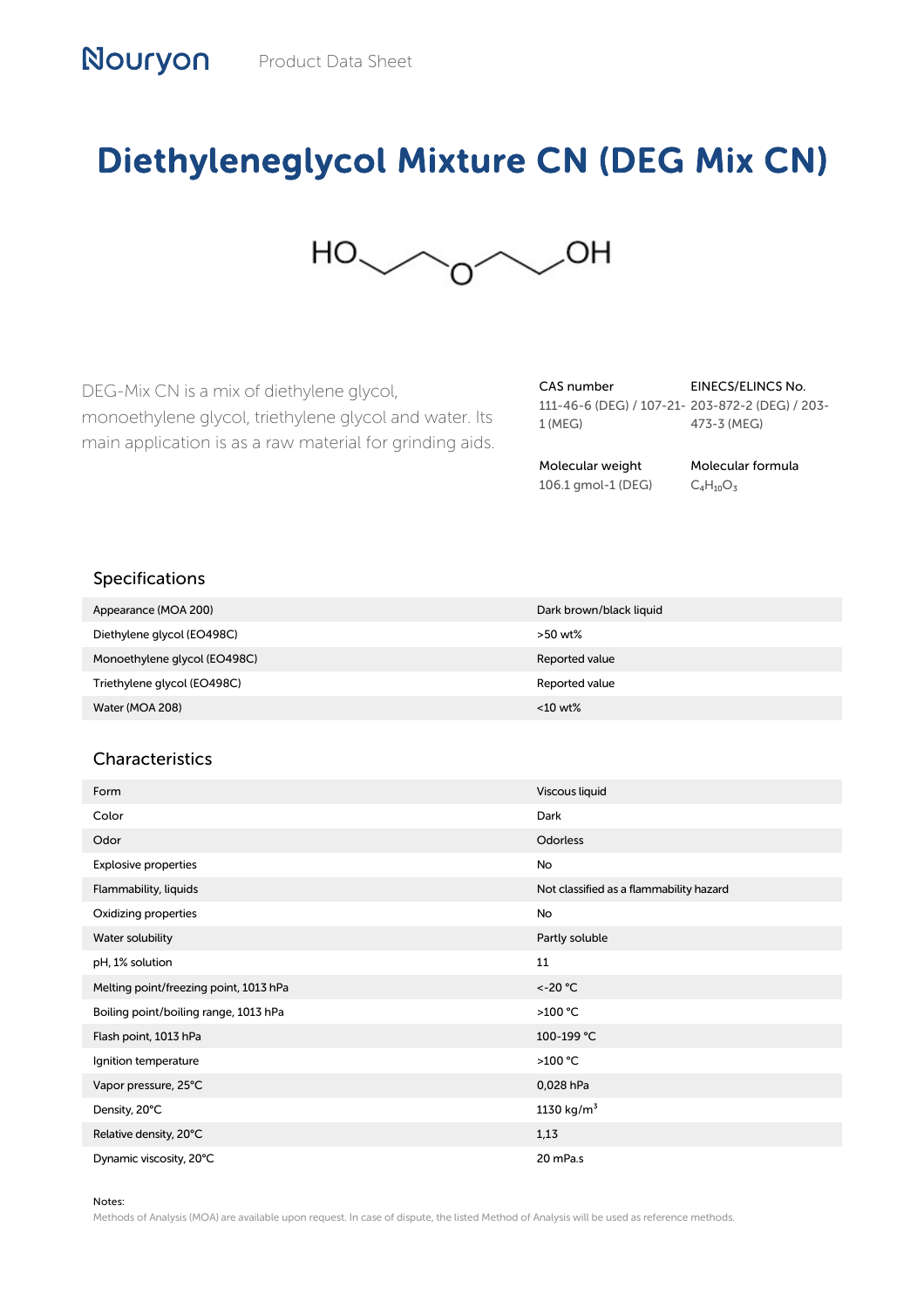## Diethyleneglycol Mixture CN (DEG Mix CN)



DEG-Mix CN is a mix of diethylene glycol, monoethylene glycol, triethylene glycol and water. Its main application is as a raw material for grinding aids. CAS number 111-46-6 (DEG) / 107-21- 203-872-2 (DEG) / 203- 1 (MEG) 473-3 (MEG)

EINECS/ELINCS No.

Molecular weight 106.1 gmol-1 (DEG)

Molecular formula  $C_4H_{10}O_3$ 

## Specifications

| Appearance (MOA 200)         | Dark brown/black liquid |
|------------------------------|-------------------------|
| Diethylene glycol (EO498C)   | >50 wt%                 |
| Monoethylene glycol (EO498C) | Reported value          |
| Triethylene glycol (EO498C)  | Reported value          |
| Water (MOA 208)              | $<$ 10 wt%              |

## **Characteristics**

| Form                                   | Viscous liquid                          |
|----------------------------------------|-----------------------------------------|
| Color                                  | Dark                                    |
| Odor                                   | Odorless                                |
| Explosive properties                   | No                                      |
| Flammability, liquids                  | Not classified as a flammability hazard |
| Oxidizing properties                   | No                                      |
| Water solubility                       | Partly soluble                          |
| pH, 1% solution                        | 11                                      |
| Melting point/freezing point, 1013 hPa | $< -20$ °C                              |
| Boiling point/boiling range, 1013 hPa  | >100 °C                                 |
| Flash point, 1013 hPa                  | 100-199 °C                              |
| Ignition temperature                   | >100 °C                                 |
| Vapor pressure, 25°C                   | 0,028 hPa                               |
| Density, 20°C                          | 1130 $kg/m^3$                           |
| Relative density, 20°C                 | 1,13                                    |
| Dynamic viscosity, 20°C                | 20 mPa.s                                |

## Notes:

Methods of Analysis (MOA) are available upon request. In case of dispute, the listed Method of Analysis will be used as reference methods.